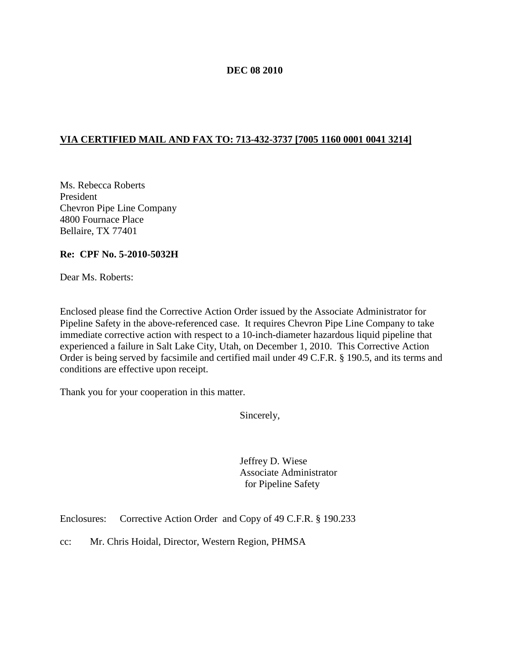#### **DEC 08 2010**

## **VIA CERTIFIED MAIL AND FAX TO: 713-432-3737 [7005 1160 0001 0041 3214]**

Ms. Rebecca Roberts President Chevron Pipe Line Company 4800 Fournace Place Bellaire, TX 77401

### **Re: CPF No. 5-2010-5032H**

Dear Ms. Roberts:

Enclosed please find the Corrective Action Order issued by the Associate Administrator for Pipeline Safety in the above-referenced case. It requires Chevron Pipe Line Company to take immediate corrective action with respect to a 10-inch-diameter hazardous liquid pipeline that experienced a failure in Salt Lake City, Utah, on December 1, 2010. This Corrective Action Order is being served by facsimile and certified mail under 49 C.F.R. § 190.5, and its terms and conditions are effective upon receipt.

Thank you for your cooperation in this matter.

Sincerely,

Jeffrey D. Wiese Associate Administrator for Pipeline Safety

Enclosures: Corrective Action Order and Copy of 49 C.F.R. § 190.233

cc: Mr. Chris Hoidal, Director, Western Region, PHMSA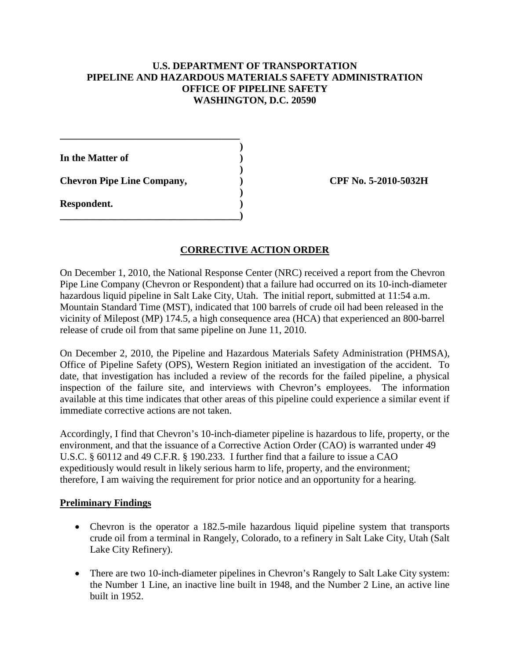## **U.S. DEPARTMENT OF TRANSPORTATION PIPELINE AND HAZARDOUS MATERIALS SAFETY ADMINISTRATION OFFICE OF PIPELINE SAFETY WASHINGTON, D.C. 20590**

**)**

**)**

**)**

**In the Matter of )**

**Chevron Pipe Line Company, ) CPF No. 5-2010-5032H**

**\_\_\_\_\_\_\_\_\_\_\_\_\_\_\_\_\_\_\_\_\_\_\_\_\_\_\_\_\_\_\_\_\_\_\_\_**

**\_\_\_\_\_\_\_\_\_\_\_\_\_\_\_\_\_\_\_\_\_\_\_\_\_\_\_\_\_\_\_\_\_\_\_\_)**

**Respondent. )**

# **CORRECTIVE ACTION ORDER**

On December 1, 2010, the National Response Center (NRC) received a report from the Chevron Pipe Line Company (Chevron or Respondent) that a failure had occurred on its 10-inch-diameter hazardous liquid pipeline in Salt Lake City, Utah. The initial report, submitted at 11:54 a.m. Mountain Standard Time (MST), indicated that 100 barrels of crude oil had been released in the vicinity of Milepost (MP) 174.5, a high consequence area (HCA) that experienced an 800-barrel release of crude oil from that same pipeline on June 11, 2010.

On December 2, 2010, the Pipeline and Hazardous Materials Safety Administration (PHMSA), Office of Pipeline Safety (OPS), Western Region initiated an investigation of the accident. To date, that investigation has included a review of the records for the failed pipeline, a physical inspection of the failure site, and interviews with Chevron's employees. The information available at this time indicates that other areas of this pipeline could experience a similar event if immediate corrective actions are not taken.

Accordingly, I find that Chevron's 10-inch-diameter pipeline is hazardous to life, property, or the environment, and that the issuance of a Corrective Action Order (CAO) is warranted under 49 U.S.C. § 60112 and 49 C.F.R. § 190.233. I further find that a failure to issue a CAO expeditiously would result in likely serious harm to life, property, and the environment; therefore, I am waiving the requirement for prior notice and an opportunity for a hearing.

### **Preliminary Findings**

- Chevron is the operator a 182.5-mile hazardous liquid pipeline system that transports crude oil from a terminal in Rangely, Colorado, to a refinery in Salt Lake City, Utah (Salt Lake City Refinery).
- There are two 10-inch-diameter pipelines in Chevron's Rangely to Salt Lake City system: the Number 1 Line, an inactive line built in 1948, and the Number 2 Line, an active line built in 1952.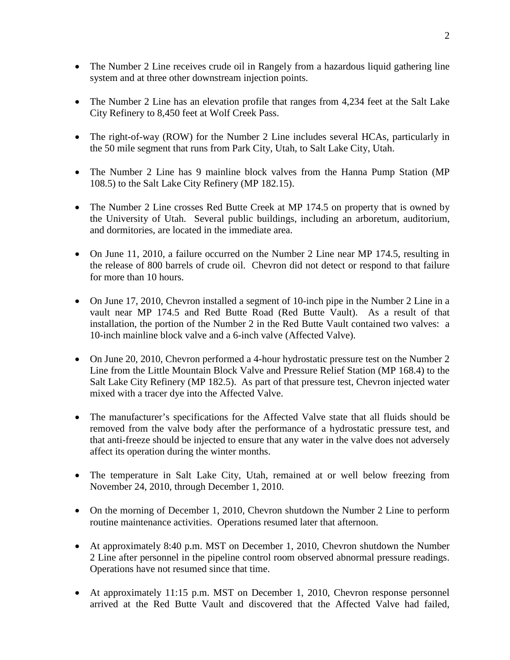- The Number 2 Line receives crude oil in Rangely from a hazardous liquid gathering line system and at three other downstream injection points.
- The Number 2 Line has an elevation profile that ranges from 4,234 feet at the Salt Lake City Refinery to 8,450 feet at Wolf Creek Pass.
- The right-of-way (ROW) for the Number 2 Line includes several HCAs, particularly in the 50 mile segment that runs from Park City, Utah, to Salt Lake City, Utah.
- The Number 2 Line has 9 mainline block valves from the Hanna Pump Station (MP) 108.5) to the Salt Lake City Refinery (MP 182.15).
- The Number 2 Line crosses Red Butte Creek at MP 174.5 on property that is owned by the University of Utah. Several public buildings, including an arboretum, auditorium, and dormitories, are located in the immediate area.
- On June 11, 2010, a failure occurred on the Number 2 Line near MP 174.5, resulting in the release of 800 barrels of crude oil. Chevron did not detect or respond to that failure for more than 10 hours.
- On June 17, 2010, Chevron installed a segment of 10-inch pipe in the Number 2 Line in a vault near MP 174.5 and Red Butte Road (Red Butte Vault). As a result of that installation, the portion of the Number 2 in the Red Butte Vault contained two valves: a 10-inch mainline block valve and a 6-inch valve (Affected Valve).
- On June 20, 2010, Chevron performed a 4-hour hydrostatic pressure test on the Number 2 Line from the Little Mountain Block Valve and Pressure Relief Station (MP 168.4) to the Salt Lake City Refinery (MP 182.5). As part of that pressure test, Chevron injected water mixed with a tracer dye into the Affected Valve.
- The manufacturer's specifications for the Affected Valve state that all fluids should be removed from the valve body after the performance of a hydrostatic pressure test, and that anti-freeze should be injected to ensure that any water in the valve does not adversely affect its operation during the winter months.
- The temperature in Salt Lake City, Utah, remained at or well below freezing from November 24, 2010, through December 1, 2010.
- On the morning of December 1, 2010, Chevron shutdown the Number 2 Line to perform routine maintenance activities. Operations resumed later that afternoon.
- At approximately 8:40 p.m. MST on December 1, 2010, Chevron shutdown the Number 2 Line after personnel in the pipeline control room observed abnormal pressure readings. Operations have not resumed since that time.
- At approximately 11:15 p.m. MST on December 1, 2010, Chevron response personnel arrived at the Red Butte Vault and discovered that the Affected Valve had failed,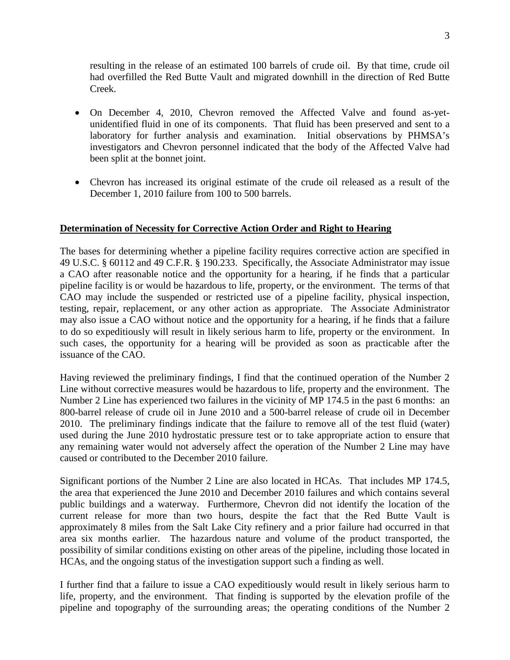resulting in the release of an estimated 100 barrels of crude oil. By that time, crude oil had overfilled the Red Butte Vault and migrated downhill in the direction of Red Butte Creek.

- On December 4, 2010, Chevron removed the Affected Valve and found as-yetunidentified fluid in one of its components. That fluid has been preserved and sent to a laboratory for further analysis and examination. Initial observations by PHMSA's investigators and Chevron personnel indicated that the body of the Affected Valve had been split at the bonnet joint.
- Chevron has increased its original estimate of the crude oil released as a result of the December 1, 2010 failure from 100 to 500 barrels.

### **Determination of Necessity for Corrective Action Order and Right to Hearing**

The bases for determining whether a pipeline facility requires corrective action are specified in 49 U.S.C. § 60112 and 49 C.F.R. § 190.233. Specifically, the Associate Administrator may issue a CAO after reasonable notice and the opportunity for a hearing, if he finds that a particular pipeline facility is or would be hazardous to life, property, or the environment. The terms of that CAO may include the suspended or restricted use of a pipeline facility, physical inspection, testing, repair, replacement, or any other action as appropriate. The Associate Administrator may also issue a CAO without notice and the opportunity for a hearing, if he finds that a failure to do so expeditiously will result in likely serious harm to life, property or the environment. In such cases, the opportunity for a hearing will be provided as soon as practicable after the issuance of the CAO.

Having reviewed the preliminary findings, I find that the continued operation of the Number 2 Line without corrective measures would be hazardous to life, property and the environment. The Number 2 Line has experienced two failures in the vicinity of MP 174.5 in the past 6 months: an 800-barrel release of crude oil in June 2010 and a 500-barrel release of crude oil in December 2010. The preliminary findings indicate that the failure to remove all of the test fluid (water) used during the June 2010 hydrostatic pressure test or to take appropriate action to ensure that any remaining water would not adversely affect the operation of the Number 2 Line may have caused or contributed to the December 2010 failure.

Significant portions of the Number 2 Line are also located in HCAs. That includes MP 174.5, the area that experienced the June 2010 and December 2010 failures and which contains several public buildings and a waterway. Furthermore, Chevron did not identify the location of the current release for more than two hours, despite the fact that the Red Butte Vault is approximately 8 miles from the Salt Lake City refinery and a prior failure had occurred in that area six months earlier. The hazardous nature and volume of the product transported, the possibility of similar conditions existing on other areas of the pipeline, including those located in HCAs, and the ongoing status of the investigation support such a finding as well.

I further find that a failure to issue a CAO expeditiously would result in likely serious harm to life, property, and the environment. That finding is supported by the elevation profile of the pipeline and topography of the surrounding areas; the operating conditions of the Number 2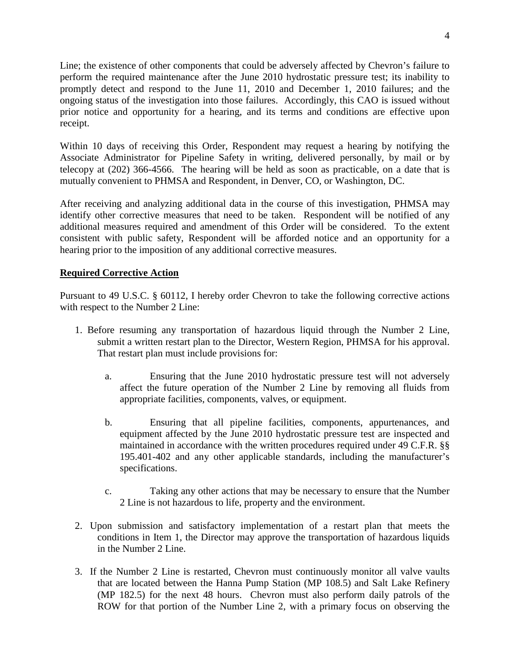Line; the existence of other components that could be adversely affected by Chevron's failure to perform the required maintenance after the June 2010 hydrostatic pressure test; its inability to promptly detect and respond to the June 11, 2010 and December 1, 2010 failures; and the ongoing status of the investigation into those failures. Accordingly, this CAO is issued without prior notice and opportunity for a hearing, and its terms and conditions are effective upon receipt.

Within 10 days of receiving this Order, Respondent may request a hearing by notifying the Associate Administrator for Pipeline Safety in writing, delivered personally, by mail or by telecopy at (202) 366-4566. The hearing will be held as soon as practicable, on a date that is mutually convenient to PHMSA and Respondent, in Denver, CO, or Washington, DC.

After receiving and analyzing additional data in the course of this investigation, PHMSA may identify other corrective measures that need to be taken. Respondent will be notified of any additional measures required and amendment of this Order will be considered. To the extent consistent with public safety, Respondent will be afforded notice and an opportunity for a hearing prior to the imposition of any additional corrective measures.

## **Required Corrective Action**

Pursuant to 49 U.S.C. § 60112, I hereby order Chevron to take the following corrective actions with respect to the Number 2 Line:

- 1. Before resuming any transportation of hazardous liquid through the Number 2 Line, submit a written restart plan to the Director, Western Region, PHMSA for his approval. That restart plan must include provisions for:
	- a. Ensuring that the June 2010 hydrostatic pressure test will not adversely affect the future operation of the Number 2 Line by removing all fluids from appropriate facilities, components, valves, or equipment.
	- b. Ensuring that all pipeline facilities, components, appurtenances, and equipment affected by the June 2010 hydrostatic pressure test are inspected and maintained in accordance with the written procedures required under 49 C.F.R. §§ 195.401-402 and any other applicable standards, including the manufacturer's specifications.
	- c. Taking any other actions that may be necessary to ensure that the Number 2 Line is not hazardous to life, property and the environment.
- 2. Upon submission and satisfactory implementation of a restart plan that meets the conditions in Item 1, the Director may approve the transportation of hazardous liquids in the Number 2 Line.
- 3. If the Number 2 Line is restarted, Chevron must continuously monitor all valve vaults that are located between the Hanna Pump Station (MP 108.5) and Salt Lake Refinery (MP 182.5) for the next 48 hours. Chevron must also perform daily patrols of the ROW for that portion of the Number Line 2, with a primary focus on observing the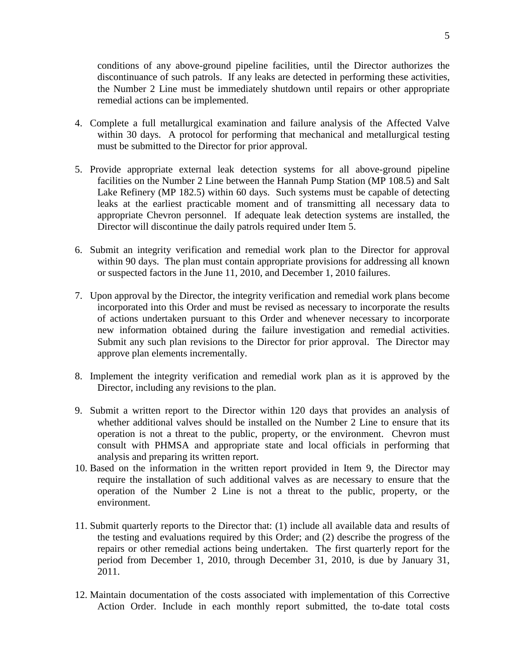conditions of any above-ground pipeline facilities, until the Director authorizes the discontinuance of such patrols. If any leaks are detected in performing these activities, the Number 2 Line must be immediately shutdown until repairs or other appropriate remedial actions can be implemented.

- 4. Complete a full metallurgical examination and failure analysis of the Affected Valve within 30 days. A protocol for performing that mechanical and metallurgical testing must be submitted to the Director for prior approval.
- 5. Provide appropriate external leak detection systems for all above-ground pipeline facilities on the Number 2 Line between the Hannah Pump Station (MP 108.5) and Salt Lake Refinery (MP 182.5) within 60 days. Such systems must be capable of detecting leaks at the earliest practicable moment and of transmitting all necessary data to appropriate Chevron personnel. If adequate leak detection systems are installed, the Director will discontinue the daily patrols required under Item 5.
- 6. Submit an integrity verification and remedial work plan to the Director for approval within 90 days. The plan must contain appropriate provisions for addressing all known or suspected factors in the June 11, 2010, and December 1, 2010 failures.
- 7. Upon approval by the Director, the integrity verification and remedial work plans become incorporated into this Order and must be revised as necessary to incorporate the results of actions undertaken pursuant to this Order and whenever necessary to incorporate new information obtained during the failure investigation and remedial activities. Submit any such plan revisions to the Director for prior approval. The Director may approve plan elements incrementally.
- 8. Implement the integrity verification and remedial work plan as it is approved by the Director, including any revisions to the plan.
- 9. Submit a written report to the Director within 120 days that provides an analysis of whether additional valves should be installed on the Number 2 Line to ensure that its operation is not a threat to the public, property, or the environment. Chevron must consult with PHMSA and appropriate state and local officials in performing that analysis and preparing its written report.
- 10. Based on the information in the written report provided in Item 9, the Director may require the installation of such additional valves as are necessary to ensure that the operation of the Number 2 Line is not a threat to the public, property, or the environment.
- 11. Submit quarterly reports to the Director that: (1) include all available data and results of the testing and evaluations required by this Order; and (2) describe the progress of the repairs or other remedial actions being undertaken. The first quarterly report for the period from December 1, 2010, through December 31, 2010, is due by January 31, 2011.
- 12. Maintain documentation of the costs associated with implementation of this Corrective Action Order. Include in each monthly report submitted, the to-date total costs